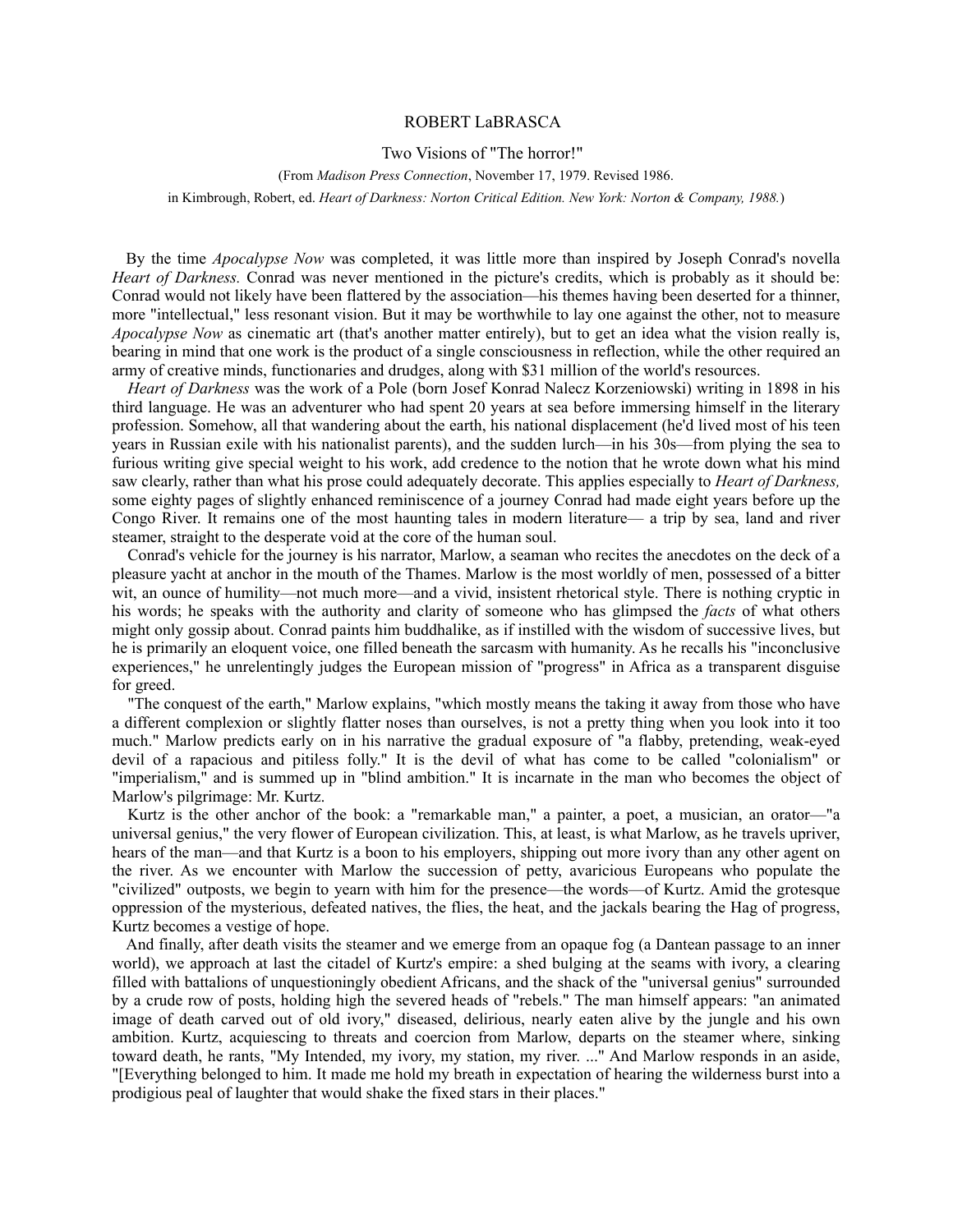## ROBERT LaBRASCA

## Two Visions of "The horror!"

(From *Madison Press Connection*, November 17, 1979. Revised 1986. in Kimbrough, Robert, ed. *Heart of Darkness: Norton Critical Edition. New York: Norton & Company, 1988.*)

By the time *Apocalypse Now* was completed, it was little more than inspired by Joseph Conrad's novella *Heart of Darkness.* Conrad was never mentioned in the picture's credits, which is probably as it should be: Conrad would not likely have been flattered by the association—his themes having been deserted for a thinner, more "intellectual," less resonant vision. But it may be worthwhile to lay one against the other, not to measure *Apocalypse Now* as cinematic art (that's another matter entirely), but to get an idea what the vision really is, bearing in mind that one work is the product of a single consciousness in reflection, while the other required an army of creative minds, functionaries and drudges, along with \$31 million of the world's resources.

*Heart of Darkness* was the work of a Pole (born Josef Konrad Nalecz Korzeniowski) writing in 1898 in his third language. He was an adventurer who had spent 20 years at sea before immersing himself in the literary profession. Somehow, all that wandering about the earth, his national displacement (he'd lived most of his teen years in Russian exile with his nationalist parents), and the sudden lurch—in his 30s—from plying the sea to furious writing give special weight to his work, add credence to the notion that he wrote down what his mind saw clearly, rather than what his prose could adequately decorate. This applies especially to *Heart of Darkness,* some eighty pages of slightly enhanced reminiscence of a journey Conrad had made eight years before up the Congo River. It remains one of the most haunting tales in modern literature— a trip by sea, land and river steamer, straight to the desperate void at the core of the human soul.

Conrad's vehicle for the journey is his narrator, Marlow, a seaman who recites the anecdotes on the deck of a pleasure yacht at anchor in the mouth of the Thames. Marlow is the most worldly of men, possessed of a bitter wit, an ounce of humility—not much more—and a vivid, insistent rhetorical style. There is nothing cryptic in his words; he speaks with the authority and clarity of someone who has glimpsed the *facts* of what others might only gossip about. Conrad paints him buddhalike, as if instilled with the wisdom of successive lives, but he is primarily an eloquent voice, one filled beneath the sarcasm with humanity. As he recalls his "inconclusive experiences," he unrelentingly judges the European mission of "progress" in Africa as a transparent disguise for greed.

"The conquest of the earth," Marlow explains, "which mostly means the taking it away from those who have a different complexion or slightly flatter noses than ourselves, is not a pretty thing when you look into it too much." Marlow predicts early on in his narrative the gradual exposure of "a flabby, pretending, weak-eyed devil of a rapacious and pitiless folly." It is the devil of what has come to be called "colonialism" or "imperialism," and is summed up in "blind ambition." It is incarnate in the man who becomes the object of Marlow's pilgrimage: Mr. Kurtz.

Kurtz is the other anchor of the book: a "remarkable man," a painter, a poet, a musician, an orator—"a universal genius," the very flower of European civilization. This, at least, is what Marlow, as he travels upriver, hears of the man—and that Kurtz is a boon to his employers, shipping out more ivory than any other agent on the river. As we encounter with Marlow the succession of petty, avaricious Europeans who populate the "civilized" outposts, we begin to yearn with him for the presence—the words—of Kurtz. Amid the grotesque oppression of the mysterious, defeated natives, the flies, the heat, and the jackals bearing the Hag of progress, Kurtz becomes a vestige of hope.

And finally, after death visits the steamer and we emerge from an opaque fog (a Dantean passage to an inner world), we approach at last the citadel of Kurtz's empire: a shed bulging at the seams with ivory, a clearing filled with battalions of unquestioningly obedient Africans, and the shack of the "universal genius" surrounded by a crude row of posts, holding high the severed heads of "rebels." The man himself appears: "an animated image of death carved out of old ivory," diseased, delirious, nearly eaten alive by the jungle and his own ambition. Kurtz, acquiescing to threats and coercion from Marlow, departs on the steamer where, sinking toward death, he rants, "My Intended, my ivory, my station, my river. ..." And Marlow responds in an aside, "[Everything belonged to him. It made me hold my breath in expectation of hearing the wilderness burst into a prodigious peal of laughter that would shake the fixed stars in their places."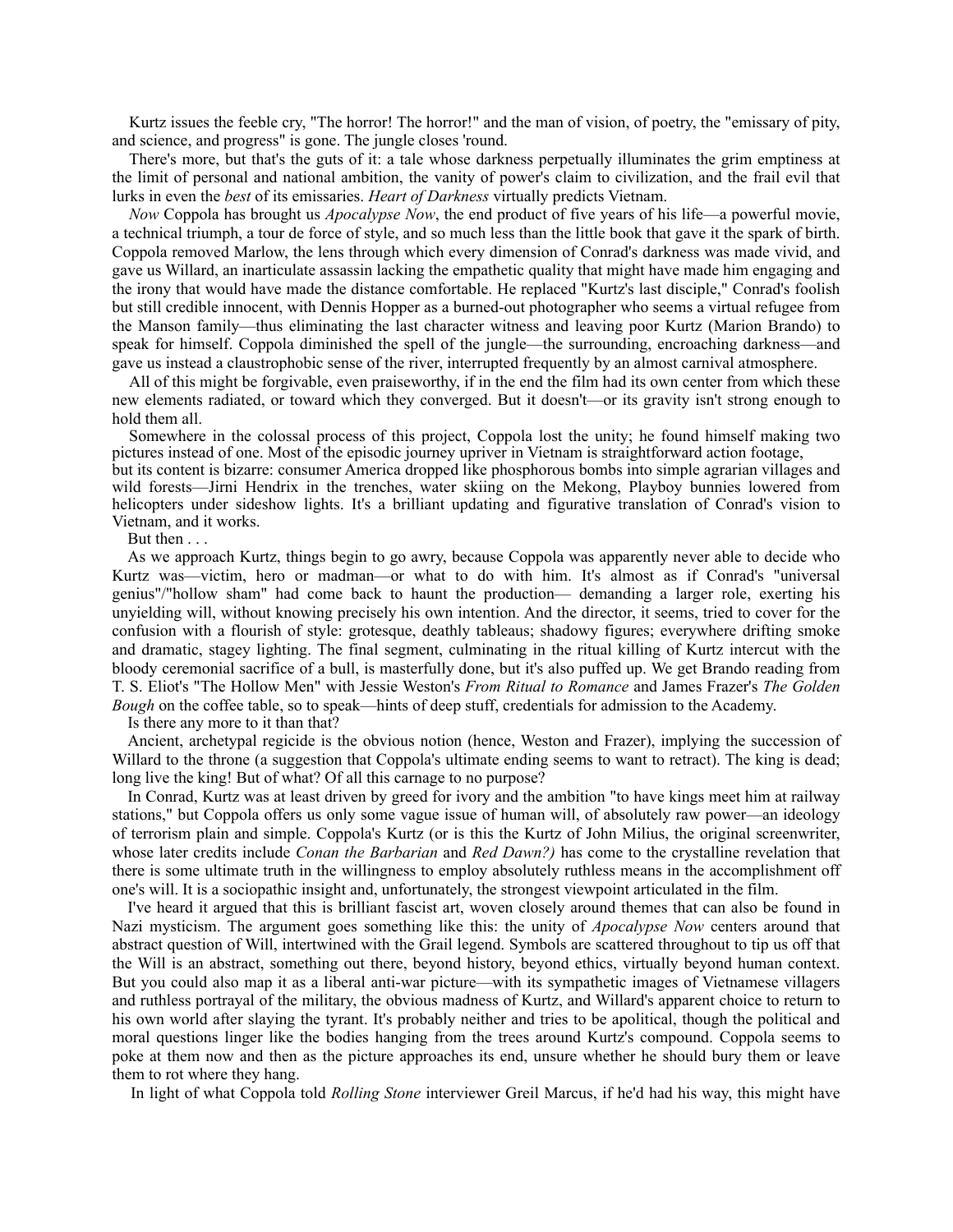Kurtz issues the feeble cry, "The horror! The horror!" and the man of vision, of poetry, the "emissary of pity, and science, and progress" is gone. The jungle closes 'round.

There's more, but that's the guts of it: a tale whose darkness perpetually illuminates the grim emptiness at the limit of personal and national ambition, the vanity of power's claim to civilization, and the frail evil that lurks in even the *best* of its emissaries. *Heart of Darkness* virtually predicts Vietnam.

*Now* Coppola has brought us *Apocalypse Now*, the end product of five years of his life—a powerful movie, a technical triumph, a tour de force of style, and so much less than the little book that gave it the spark of birth. Coppola removed Marlow, the lens through which every dimension of Conrad's darkness was made vivid, and gave us Willard, an inarticulate assassin lacking the empathetic quality that might have made him engaging and the irony that would have made the distance comfortable. He replaced "Kurtz's last disciple," Conrad's foolish but still credible innocent, with Dennis Hopper as a burned-out photographer who seems a virtual refugee from the Manson family—thus eliminating the last character witness and leaving poor Kurtz (Marion Brando) to speak for himself. Coppola diminished the spell of the jungle—the surrounding, encroaching darkness—and gave us instead a claustrophobic sense of the river, interrupted frequently by an almost carnival atmosphere.

All of this might be forgivable, even praiseworthy, if in the end the film had its own center from which these new elements radiated, or toward which they converged. But it doesn't—or its gravity isn't strong enough to hold them all.

Somewhere in the colossal process of this project, Coppola lost the unity; he found himself making two pictures instead of one. Most of the episodic journey upriver in Vietnam is straightforward action footage,

but its content is bizarre: consumer America dropped like phosphorous bombs into simple agrarian villages and wild forests—Jirni Hendrix in the trenches, water skiing on the Mekong, Playboy bunnies lowered from helicopters under sideshow lights. It's a brilliant updating and figurative translation of Conrad's vision to Vietnam, and it works.

But then . . .

As we approach Kurtz, things begin to go awry, because Coppola was apparently never able to decide who Kurtz was—victim, hero or madman—or what to do with him. It's almost as if Conrad's "universal genius"/"hollow sham" had come back to haunt the production— demanding a larger role, exerting his unyielding will, without knowing precisely his own intention. And the director, it seems, tried to cover for the confusion with a flourish of style: grotesque, deathly tableaus; shadowy figures; everywhere drifting smoke and dramatic, stagey lighting. The final segment, culminating in the ritual killing of Kurtz intercut with the bloody ceremonial sacrifice of a bull, is masterfully done, but it's also puffed up. We get Brando reading from T. S. Eliot's "The Hollow Men" with Jessie Weston's *From Ritual to Romance* and James Frazer's *The Golden Bough* on the coffee table, so to speak—hints of deep stuff, credentials for admission to the Academy.

Is there any more to it than that?

Ancient, archetypal regicide is the obvious notion (hence, Weston and Frazer), implying the succession of Willard to the throne (a suggestion that Coppola's ultimate ending seems to want to retract). The king is dead; long live the king! But of what? Of all this carnage to no purpose?

In Conrad, Kurtz was at least driven by greed for ivory and the ambition "to have kings meet him at railway stations," but Coppola offers us only some vague issue of human will, of absolutely raw power—an ideology of terrorism plain and simple. Coppola's Kurtz (or is this the Kurtz of John Milius, the original screenwriter, whose later credits include *Conan the Barbarian* and *Red Dawn?)* has come to the crystalline revelation that there is some ultimate truth in the willingness to employ absolutely ruthless means in the accomplishment off one's will. It is a sociopathic insight and, unfortunately, the strongest viewpoint articulated in the film.

I've heard it argued that this is brilliant fascist art, woven closely around themes that can also be found in Nazi mysticism. The argument goes something like this: the unity of *Apocalypse Now* centers around that abstract question of Will, intertwined with the Grail legend. Symbols are scattered throughout to tip us off that the Will is an abstract, something out there, beyond history, beyond ethics, virtually beyond human context. But you could also map it as a liberal anti-war picture—with its sympathetic images of Vietnamese villagers and ruthless portrayal of the military, the obvious madness of Kurtz, and Willard's apparent choice to return to his own world after slaying the tyrant. It's probably neither and tries to be apolitical, though the political and moral questions linger like the bodies hanging from the trees around Kurtz's compound. Coppola seems to poke at them now and then as the picture approaches its end, unsure whether he should bury them or leave them to rot where they hang.

In light of what Coppola told *Rolling Stone* interviewer Greil Marcus, if he'd had his way, this might have